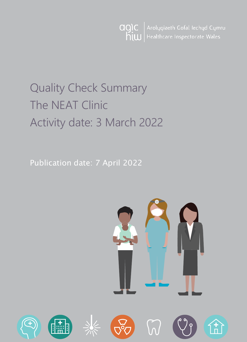Arolygiaeth Gofal Iechyd Cymru agic  $h$ <sub>i</sub>  $\omega$ Healthcare Inspectorate Wales

# Quality Check Summary The NEAT Clinic Activity date: 3 March 2022

Publication date: 7 April 2022

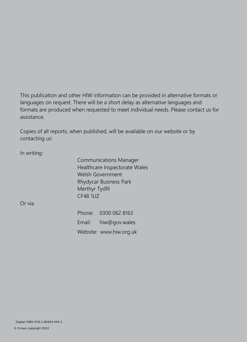This publication and other HIW information can be provided in alternative formats or languages on request. There will be a short delay as alternative languages and formats are produced when requested to meet individual needs. Please contact us for assistance.

Copies of all reports, when published, will be available on our website or by contacting us:

In writing:

Communications Manager Healthcare Inspectorate Wales Welsh Government Rhydycar Business Park Merthyr Tydfil CF48 1UZ

Or via

Phone: 0300 062 8163 Email: [hiw@gov.wales](mailto:hiw@gov.wales) Website: [www.hiw.org.uk](http://www.hiw.org.uk/)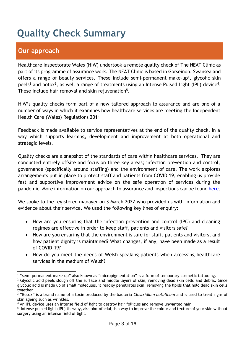# **Quality Check Summary**

# **Our approach**

 $\overline{a}$ 

Healthcare Inspectorate Wales (HIW) undertook a remote quality check of The NEAT Clinic as part of its programme of assurance work. The NEAT Clinic is based in Gorseinon, Swansea and offers a range of beauty services. These include semi-permanent make-up<sup>1</sup>, glycolic skin peels<sup>2</sup> and botox<sup>3</sup>, as well a range of treatments using an Intense Pulsed Light (IPL) device<sup>4</sup>. These include hair removal and skin rejuvenation<sup>5</sup>.

HIW's quality checks form part of a new tailored approach to assurance and are one of a number of ways in which it examines how healthcare services are meeting the Independent Health Care (Wales) Regulations 2011

Feedback is made available to service representatives at the end of the quality check, in a way which supports learning, development and improvement at both operational and strategic levels.

Quality checks are a snapshot of the standards of care within healthcare services. They are conducted entirely offsite and focus on three key areas; infection prevention and control, governance (specifically around staffing) and the environment of care. The work explores arrangements put in place to protect staff and patients from COVID 19, enabling us provide fast and supportive improvement advice on the safe operation of services during the pandemic. More information on our approach to assurance and inspections can be found [here.](https://hiw.org.uk/covid-19-response-and-our-approach-assurance-and-inspection)

We spoke to the registered manager on 3 March 2022 who provided us with information and evidence about their service. We used the following key lines of enquiry:

- How are you ensuring that the infection prevention and control (IPC) and cleaning regimes are effective in order to keep staff, patients and visitors safe?
- How are you ensuring that the environment is safe for staff, patients and visitors, and how patient dignity is maintained? What changes, if any, have been made as a result of COVID-19?
- How do you meet the needs of Welsh speaking patients when accessing healthcare services in the medium of Welsh?

<sup>1</sup> "semi-permanent make-up" also known as "micropigmentation" is a form of temporary cosmetic tattooing.

<sup>&</sup>lt;sup>2</sup> Glycolic acid peels slough off the surface and middle layers of skin, removing dead skin cells and debris. Since glycolic acid is made up of small molecules, it readily penetrates skin, removing the lipids that hold dead skin cells together

<sup>3</sup> "Botox" is a brand name of a toxin produced by the bacteria *Clostridium botulinum* and is used to treat signs of skin ageing such as wrinkles.

<sup>&</sup>lt;sup>4</sup> An IPL device uses an intense field of light to destroy hair follicles and remove unwanted hair

<sup>&</sup>lt;sup>5</sup> Intense pulsed light (IPL) therapy, aka photofacial, is a way to improve the colour and texture of your skin without surgery using an intense field of light.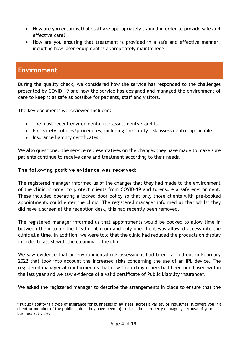- How are you ensuring that staff are appropriately trained in order to provide safe and effective care?
- How are you ensuring that treatment is provided in a safe and effective manner, including how laser equipment is appropriately maintained?

# **Environment**

 $\overline{a}$ 

During the quality check, we considered how the service has responded to the challenges presented by COVID-19 and how the service has designed and managed the environment of care to keep it as safe as possible for patients, staff and visitors.

The key documents we reviewed included:

- The most recent environmental risk assessments / audits
- Fire safety policies/procedures, including fire safety risk assessment(if applicable)
- Insurance liability certificates.

We also questioned the service representatives on the changes they have made to make sure patients continue to receive care and treatment according to their needs.

#### **The following positive evidence was received:**

The registered manager informed us of the changes that they had made to the environment of the clinic in order to protect clients from COVID-19 and to ensure a safe environment. These included operating a locked door policy so that only those clients with pre-booked appointments could enter the clinic. The registered manager informed us that whilst they did have a screen at the reception desk, this had recently been removed.

The registered manager informed us that appointments would be booked to allow time in between them to air the treatment room and only one client was allowed access into the clinic at a time. In addition, we were told that the clinic had reduced the products on display in order to assist with the cleaning of the clinic.

We saw evidence that an environmental risk assessment had been carried out in February 2022 that took into account the increased risks concerning the use of an IPL device. The registered manager also informed us that new fire extinguishers had been purchased within the last year and we saw evidence of a valid certificate of Public Liability insurance<sup>6</sup>.

We asked the registered manager to describe the arrangements in place to ensure that the

<sup>6</sup> Public liability is a type of insurance for businesses of all sizes, across a variety of industries. It covers you if a client or member of the public claims they have been injured, or their property damaged, because of your business activities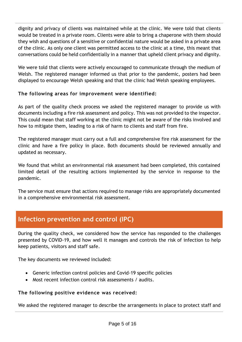dignity and privacy of clients was maintained while at the clinic. We were told that clients would be treated in a private room. Clients were able to bring a chaperone with them should they wish and questions of a sensitive or confidential nature would be asked in a private area of the clinic. As only one client was permitted access to the clinic at a time, this meant that conversations could be held confidentially in a manner that upheld client privacy and dignity.

We were told that clients were actively encouraged to communicate through the medium of Welsh. The registered manager informed us that prior to the pandemic, posters had been displayed to encourage Welsh speaking and that the clinic had Welsh speaking employees.

### **The following areas for improvement were identified:**

As part of the quality check process we asked the registered manager to provide us with documents including a fire risk assessment and policy. This was not provided to the inspector. This could mean that staff working at the clinic might not be aware of the risks involved and how to mitigate them, leading to a risk of harm to clients and staff from fire.

The registered manager must carry out a full and comprehensive fire risk assessment for the clinic and have a fire policy in place. Both documents should be reviewed annually and updated as necessary.

We found that whilst an environmental risk assessment had been completed, this contained limited detail of the resulting actions implemented by the service in response to the pandemic.

The service must ensure that actions required to manage risks are appropriately documented in a comprehensive environmental risk assessment.

# **Infection prevention and control (IPC)**

During the quality check, we considered how the service has responded to the challenges presented by COVID-19, and how well it manages and controls the risk of infection to help keep patients, visitors and staff safe.

The key documents we reviewed included:

- Generic infection control policies and Covid-19 specific policies
- Most recent infection control risk assessments / audits.

### **The following positive evidence was received:**

We asked the registered manager to describe the arrangements in place to protect staff and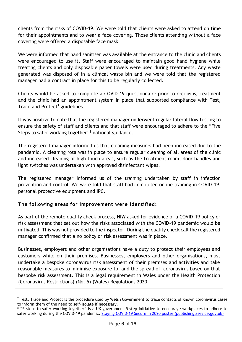clients from the risks of COVID-19. We were told that clients were asked to attend on time for their appointments and to wear a face covering. Those clients attending without a face covering were offered a disposable face mask.

We were informed that hand sanitiser was available at the entrance to the clinic and clients were encouraged to use it. Staff were encouraged to maintain good hand hygiene while treating clients and only disposable paper towels were used during treatments. Any waste generated was disposed of in a clinical waste bin and we were told that the registered manager had a contract in place for this to be regularly collected.

Clients would be asked to complete a COVID-19 questionnaire prior to receiving treatment and the clinic had an appointment system in place that supported compliance with Test, Trace and Protect<sup>7</sup> guidelines.

It was positive to note that the registered manager underwent regular lateral flow testing to ensure the safety of staff and clients and that staff were encouraged to adhere to the "Five Steps to safer working together"<sup>8</sup> national guidance.

The registered manager informed us that cleaning measures had been increased due to the pandemic. A cleaning rota was in place to ensure regular cleaning of all areas of the clinic and increased cleaning of high touch areas, such as the treatment room, door handles and light switches was undertaken with approved disinfectant wipes.

The registered manager informed us of the training undertaken by staff in infection prevention and control. We were told that staff had completed online training in COVID-19, personal protective equipment and IPC.

### **The following areas for improvement were identified:**

 $\overline{a}$ 

As part of the remote quality check process, HIW asked for evidence of a COVID-19 policy or risk assessment that set out how the risks associated with the COVID-19 pandemic would be mitigated. This was not provided to the inspector. During the quality check call the registered manager confirmed that a no policy or risk assessment was in place.

Businesses, employers and other organisations have a duty to protect their employees and customers while on their premises. Businesses, employers and other organisations, must undertake a bespoke coronavirus risk assessment of their premises and activities and take reasonable measures to minimise exposure to, and the spread of, coronavirus based on that bespoke risk assessment. This is a legal requirement in Wales under the Health Protection (Coronavirus Restrictions) (No. 5) (Wales) Regulations 2020.

<sup>&</sup>lt;sup>7</sup> Test, Trace and Protect is the procedure used by Welsh Government to trace contacts of known coronavirus cases to inform them of the need to self-isolate if necessary.

<sup>&</sup>lt;sup>8</sup> "5 steps to safer working together" is a UK government 5-step initiative to encourage workplaces to adhere to safer working during the COVID-19 pandemic. [Staying COVID-19 Secure in 2020 poster \(publishing.service.gov.uk\)](https://assets.publishing.service.gov.uk/media/5eb97d30d3bf7f5d364bfbb6/staying-covid-19-secure-accessible.pdf)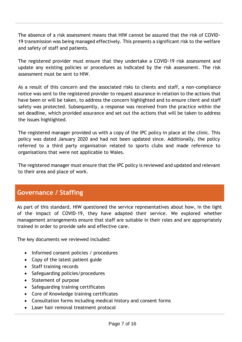The absence of a risk assessment means that HIW cannot be assured that the risk of COVID-19 transmission was being managed effectively. This presents a significant risk to the welfare and safety of staff and patients.

The registered provider must ensure that they undertake a COVID-19 risk assessment and update any existing policies or procedures as indicated by the risk assessment. The risk assessment must be sent to HIW.

As a result of this concern and the associated risks to clients and staff, a non-compliance notice was sent to the registered provider to request assurance in relation to the actions that have been or will be taken, to address the concern highlighted and to ensure client and staff safety was protected. Subsequently, a response was received from the practice within the set deadline, which provided assurance and set out the actions that will be taken to address the issues highlighted.

The registered manager provided us with a copy of the IPC policy in place at the clinic. This policy was dated January 2020 and had not been updated since. Additionally, the policy referred to a third party organisation related to sports clubs and made reference to organisations that were not applicable to Wales.

The registered manager must ensure that the IPC policy is reviewed and updated and relevant to their area and place of work.

# **Governance / Staffing**

As part of this standard, HIW questioned the service representatives about how, in the light of the impact of COVID-19, they have adapted their service. We explored whether management arrangements ensure that staff are suitable in their roles and are appropriately trained in order to provide safe and effective care.

The key documents we reviewed included:

- Informed consent policies / procedures
- Copy of the latest patient guide
- Staff training records
- Safeguarding policies/procedures
- Statement of purpose
- Safeguarding training certificates
- Core of Knowledge training certificates
- Consultation forms including medical history and consent forms
- Laser hair removal treatment protocol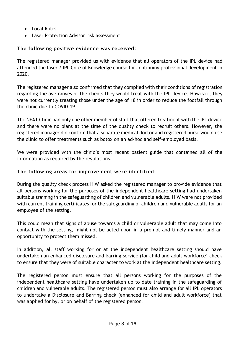- Local Rules
- Laser Protection Advisor risk assessment.

## **The following positive evidence was received:**

The registered manager provided us with evidence that all operators of the IPL device had attended the laser / IPL Core of Knowledge course for continuing professional development in 2020.

The registered manager also confirmed that they complied with their conditions of registration regarding the age ranges of the clients they would treat with the IPL device. However, they were not currently treating those under the age of 18 in order to reduce the footfall through the clinic due to COVID-19.

The NEAT Clinic had only one other member of staff that offered treatment with the IPL device and there were no plans at the time of the quality check to recruit others. However, the registered manager did confirm that a separate medical doctor and registered nurse would use the clinic to offer treatments such as botox on an ad-hoc and self-employed basis.

We were provided with the clinic's most recent patient guide that contained all of the information as required by the regulations.

### **The following areas for improvement were identified:**

During the quality check process HIW asked the registered manager to provide evidence that all persons working for the purposes of the independent healthcare setting had undertaken suitable training in the safeguarding of children and vulnerable adults. HIW were not provided with current training certificates for the safeguarding of children and vulnerable adults for an employee of the setting.

This could mean that signs of abuse towards a child or vulnerable adult that may come into contact with the setting, might not be acted upon in a prompt and timely manner and an opportunity to protect them missed.

In addition, all staff working for or at the independent healthcare setting should have undertaken an enhanced disclosure and barring service (for child and adult workforce) check to ensure that they were of suitable character to work at the independent healthcare setting.

The registered person must ensure that all persons working for the purposes of the independent healthcare setting have undertaken up to date training in the safeguarding of children and vulnerable adults. The registered person must also arrange for all IPL operators to undertake a Disclosure and Barring check (enhanced for child and adult workforce) that was applied for by, or on behalf of the registered person.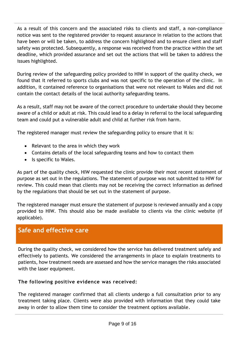As a result of this concern and the associated risks to clients and staff, a non-compliance notice was sent to the registered provider to request assurance in relation to the actions that have been or will be taken, to address the concern highlighted and to ensure client and staff safety was protected. Subsequently, a response was received from the practice within the set deadline, which provided assurance and set out the actions that will be taken to address the issues highlighted.

During review of the safeguarding policy provided to HIW in support of the quality check, we found that it referred to sports clubs and was not specific to the operation of the clinic. In addition, it contained reference to organisations that were not relevant to Wales and did not contain the contact details of the local authority safeguarding teams.

As a result, staff may not be aware of the correct procedure to undertake should they become aware of a child or adult at risk. This could lead to a delay in referral to the local safeguarding team and could put a vulnerable adult and child at further risk from harm.

The registered manager must review the safeguarding policy to ensure that it is:

- Relevant to the area in which they work
- Contains details of the local safeguarding teams and how to contact them
- Is specific to Wales.

As part of the quality check, HIW requested the clinic provide their most recent statement of purpose as set out in the regulations. The statement of purpose was not submitted to HIW for review. This could mean that clients may not be receiving the correct information as defined by the regulations that should be set out in the statement of purpose.

The registered manager must ensure the statement of purpose is reviewed annually and a copy provided to HIW. This should also be made available to clients via the clinic website (if applicable).

# **Safe and effective care**

During the quality check, we considered how the service has delivered treatment safely and effectively to patients. We considered the arrangements in place to explain treatments to patients, how treatment needs are assessed and how the service manages the risks associated with the laser equipment.

### **The following positive evidence was received:**

The registered manager confirmed that all clients undergo a full consultation prior to any treatment taking place. Clients were also provided with information that they could take away in order to allow them time to consider the treatment options available.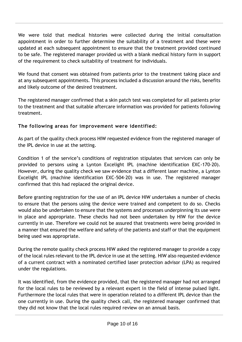We were told that medical histories were collected during the initial consultation appointment in order to further determine the suitability of a treatment and these were updated at each subsequent appointment to ensure that the treatment provided continued to be safe. The registered manager provided us with a blank medical history form in support of the requirement to check suitability of treatment for individuals.

We found that consent was obtained from patients prior to the treatment taking place and at any subsequent appointments. This process included a discussion around the risks, benefits and likely outcome of the desired treatment.

The registered manager confirmed that a skin patch test was completed for all patients prior to the treatment and that suitable aftercare information was provided for patients following treatment.

### **The following areas for improvement were identified:**

As part of the quality check process HIW requested evidence from the registered manager of the IPL device in use at the setting.

Condition 1 of the service's conditions of registration stipulates that services can only be provided to persons using a Lynton Excelight IPL (machine identification EXC-170-20). However, during the quality check we saw evidence that a different laser machine, a Lynton Excelight IPL (machine identification EXC-504-20) was in use. The registered manager confirmed that this had replaced the original device.

Before granting registration for the use of an IPL device HIW undertakes a number of checks to ensure that the persons using the device were trained and competent to do so. Checks would also be undertaken to ensure that the systems and processes underpinning its use were in place and appropriate. These checks had not been undertaken by HIW for the device currently in use. Therefore we could not be assured that treatments were being provided in a manner that ensured the welfare and safety of the patients and staff or that the equipment being used was appropriate.

During the remote quality check process HIW asked the registered manager to provide a copy of the local rules relevant to the IPL device in use at the setting. HIW also requested evidence of a current contract with a nominated certified laser protection advisor (LPA) as required under the regulations.

It was identified, from the evidence provided, that the registered manager had not arranged for the local rules to be reviewed by a relevant expert in the field of intense pulsed light. Furthermore the local rules that were in operation related to a different IPL device than the one currently in use. During the quality check call, the registered manager confirmed that they did not know that the local rules required review on an annual basis.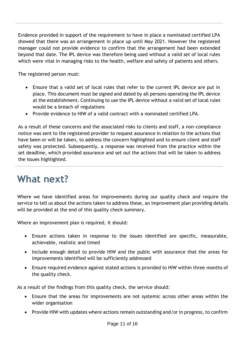Evidence provided in support of the requirement to have in place a nominated certified LPA showed that there was an arrangement in place up until May 2021. However the registered manager could not provide evidence to confirm that the arrangement had been extended beyond that date. The IPL device was therefore being used without a valid set of local rules which were vital in managing risks to the health, welfare and safety of patients and others.

The registered person must:

- Ensure that a valid set of local rules that refer to the current IPL device are put in place. This document must be signed and dated by all persons operating the IPL device at the establishment. Continuing to use the IPL device without a valid set of local rules would be a breach of regulations
- Provide evidence to HIW of a valid contract with a nominated certified LPA.

As a result of these concerns and the associated risks to clients and staff, a non-compliance notice was sent to the registered provider to request assurance in relation to the actions that have been or will be taken, to address the concern highlighted and to ensure client and staff safety was protected. Subsequently, a response was received from the practice within the set deadline, which provided assurance and set out the actions that will be taken to address the issues highlighted.

# **What next?**

Where we have identified areas for improvements during our quality check and require the service to tell us about the actions taken to address these, an improvement plan providing details will be provided at the end of this quality check summary.

Where an improvement plan is required, it should:

- Ensure actions taken in response to the issues identified are specific, measurable, achievable, realistic and timed
- Include enough detail to provide HIW and the public with assurance that the areas for improvements identified will be sufficiently addressed
- Ensure required evidence against stated actions is provided to HIW within three months of the quality check.

As a result of the findings from this quality check, the service should:

- Ensure that the areas for improvements are not systemic across other areas within the wider organisation
- Provide HIW with updates where actions remain outstanding and/or in progress, to confirm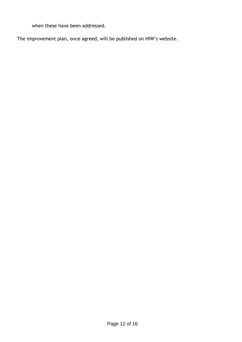when these have been addressed.

The improvement plan, once agreed, will be published on HIW's website.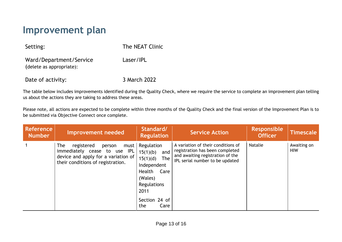# **Improvement plan**

| Setting:                                            | The NEAT Clinic |  |  |
|-----------------------------------------------------|-----------------|--|--|
| Ward/Department/Service<br>(delete as appropriate): | Laser/IPL       |  |  |
| Date of activity:                                   | 3 March 2022    |  |  |

The table below includes improvements identified during the Quality Check, where we require the service to complete an improvement plan telling us about the actions they are taking to address these areas.

Please note, all actions are expected to be complete within three months of the Quality Check and the final version of the Improvement Plan is to be submitted via Objective Connect once complete.

| <b>Reference</b><br><b>Number</b> | Improvement needed                                                                                                                                     | Standard/<br><b>Regulation</b>                                                                                                                     | <b>Service Action</b>                                                                                                                        | <b>Responsible</b><br><b>Officer</b> | <b>Timescale</b>          |
|-----------------------------------|--------------------------------------------------------------------------------------------------------------------------------------------------------|----------------------------------------------------------------------------------------------------------------------------------------------------|----------------------------------------------------------------------------------------------------------------------------------------------|--------------------------------------|---------------------------|
|                                   | registered<br><b>The</b><br>must<br>person<br>immediately cease to use IPL<br>device and apply for a variation of<br>their conditions of registration. | Regulation<br>15(1)(b)<br>and<br>$15(1)(d)$ The<br>Independent<br>Health<br>Care<br>(Wales)<br>Regulations<br>2011<br>Section 24 of<br>the<br>Care | A variation of their conditions of<br>registration has been completed<br>and awaiting registration of the<br>IPL serial number to be updated | Natalie                              | Awaiting on<br><b>HIW</b> |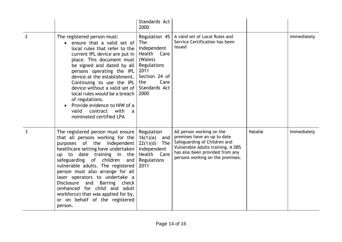|                |                                                                                                                                                                                                                                                                                                                                                                                                                                                                                        | Standards Act<br>2000                                                                                                                                   |                                                                                                                                                                                                      |                |             |
|----------------|----------------------------------------------------------------------------------------------------------------------------------------------------------------------------------------------------------------------------------------------------------------------------------------------------------------------------------------------------------------------------------------------------------------------------------------------------------------------------------------|---------------------------------------------------------------------------------------------------------------------------------------------------------|------------------------------------------------------------------------------------------------------------------------------------------------------------------------------------------------------|----------------|-------------|
| $\overline{2}$ | The registered person must:<br>ensure that a valid set of<br>$\bullet$<br>local rules that refer to the<br>current IPL device are put in $ $<br>place. This document must<br>be signed and dated by all<br>persons operating the $ PL $<br>device at the establishment.<br>Continuing to use the IPL<br>device without a valid set of<br>local rules would be a breach<br>of regulations.<br>Provide evidence to HIW of a<br>valid<br>contract<br>with<br>a<br>nominated certified LPA | Regulation 45<br><b>The</b><br>Independent<br>Health<br>Care<br>(Wales)<br>Regulations<br>2011<br>Section 24 of<br>Care<br>the<br>Standards Act<br>2000 | A valid set of Local Rules and<br>Service Certification has been<br>issued                                                                                                                           |                | Immediately |
| $\overline{3}$ | The registered person must ensure<br>that all persons working for the<br>purposes of the<br>independent  <br>healthcare setting have undertaken<br>up to date training in the<br>safeguarding of children<br>and  <br>vulnerable adults. The registered<br>person must also arrange for all<br>laser operators to undertake a<br>Disclosure and<br>Barring check<br>(enhanced for child and adult<br>workforce) that was applied for by,<br>or on behalf of the registered<br>person.  | Regulation<br>16(1)(a)<br>and<br>The<br>22(1)(d)<br>Independent<br>Health<br>Care<br>Regulations<br>2011                                                | All person working on the<br>premises have an up to date<br>Safeguarding of Children and<br>Vulnerable Adults training. A DBS<br>has also been provided from any<br>persons working on the premises. | <b>Natalie</b> | Immediately |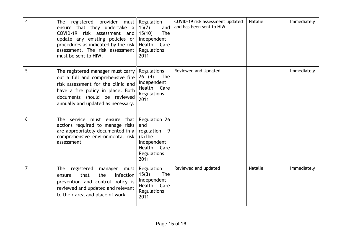|                | registered<br>provider<br><b>The</b><br>must<br>ensure that they undertake<br>$\alpha$<br>COVID-19 risk assessment and<br>update any existing policies or<br>procedures as indicated by the risk<br>assessment. The risk assessment<br>must be sent to HIW. | Regulation<br>15(7)<br>and<br>15(10)<br>The<br>Independent<br>Health Care<br>Regulations<br>2011             | COVID-19 risk assessment updated<br>and has been sent to HIW | <b>Natalie</b> | Immediately |
|----------------|-------------------------------------------------------------------------------------------------------------------------------------------------------------------------------------------------------------------------------------------------------------|--------------------------------------------------------------------------------------------------------------|--------------------------------------------------------------|----------------|-------------|
| 5              | The registered manager must carry<br>out a full and comprehensive fire<br>risk assessment for the clinic and<br>have a fire policy in place. Both<br>documents should be reviewed<br>annually and updated as necessary.                                     | Regulations<br>26(4)<br><b>The</b><br>Independent<br>Health<br>Care<br>Regulations<br>2011                   | Reviewed and Updated                                         |                | Immediately |
| 6              | The service must ensure that<br>actions required to manage risks<br>are appropriately documented in a<br>comprehensive environmental risk<br>assessment                                                                                                     | Regulation 26<br>and<br>regulation<br>9<br>$(k)$ The<br>Independent<br>Health<br>Care<br>Regulations<br>2011 |                                                              |                |             |
| $\overline{7}$ | registered<br><b>The</b><br>manager<br>must<br>that<br>infection<br>the<br>ensure<br>prevention and control policy is<br>reviewed and updated and relevant<br>to their area and place of work.                                                              | Regulation<br>15(3)<br>The<br>Independent<br>Health Care<br>Regulations<br>2011                              | Reviewed and updated                                         | Natalie        | Immediately |